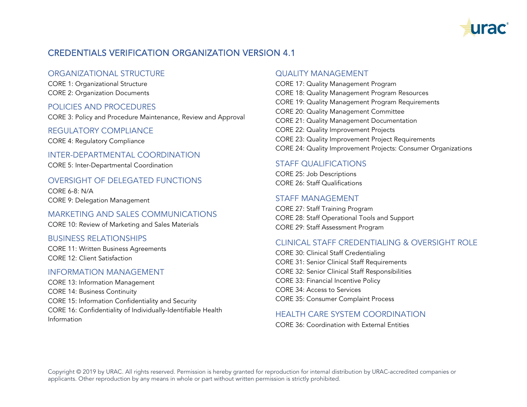

# CREDENTIALS VERIFICATION ORGANIZATION VERSION 4.1

# ORGANIZATIONAL STRUCTURE

CORE 1: Organizational Structure CORE 2: Organization Documents

## POLICIES AND PROCEDURES

CORE 3: Policy and Procedure Maintenance, Review and Approval

#### REGULATORY COMPLIANCE

CORE 4: Regulatory Compliance

#### INTER-DEPARTMENTAL COORDINATION

CORE 5: Inter-Departmental Coordination

## OVERSIGHT OF DELEGATED FUNCTIONS

CORE 6-8: N/A CORE 9: Delegation Management

#### MARKETING AND SALES COMMUNICATIONS

CORE 10: Review of Marketing and Sales Materials

#### BUSINESS RELATIONSHIPS

CORE 11: Written Business Agreements CORE 12: Client Satisfaction

#### INFORMATION MANAGEMENT

CORE 13: Information Management CORE 14: Business Continuity CORE 15: Information Confidentiality and Security CORE 16: Confidentiality of Individually-Identifiable Health Information

#### QUALITY MANAGEMENT

CORE 17: Quality Management Program CORE 18: Quality Management Program Resources CORE 19: Quality Management Program Requirements CORE 20: Quality Management Committee CORE 21: Quality Management Documentation CORE 22: Quality Improvement Projects CORE 23: Quality Improvement Project Requirements CORE 24: Quality Improvement Projects: Consumer Organizations

# STAFF QUALIFICATIONS

CORE 25: Job Descriptions CORE 26: Staff Qualifications

## STAFF MANAGEMENT

CORE 27: Staff Training Program CORE 28: Staff Operational Tools and Support CORE 29: Staff Assessment Program

## CLINICAL STAFF CREDENTIALING & OVERSIGHT ROLE

CORE 30: Clinical Staff Credentialing CORE 31: Senior Clinical Staff Requirements CORE 32: Senior Clinical Staff Responsibilities CORE 33: Financial Incentive Policy CORE 34: Access to Services CORE 35: Consumer Complaint Process

## HEALTH CARE SYSTEM COORDINATION

CORE 36: Coordination with External Entities

Copyright © 2019 by URAC. All rights reserved. Permission is hereby granted for reproduction for internal distribution by URAC-accredited companies or applicants. Other reproduction by any means in whole or part without written permission is strictly prohibited.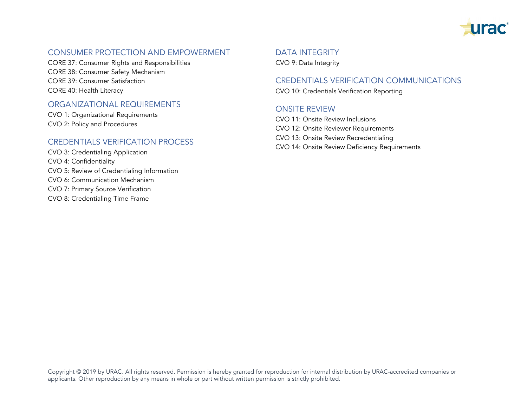

# CONSUMER PROTECTION AND EMPOWERMENT

CORE 37: Consumer Rights and Responsibilities CORE 38: Consumer Safety Mechanism CORE 39: Consumer Satisfaction CORE 40: Health Literacy

# ORGANIZATIONAL REQUIREMENTS

CVO 1: Organizational Requirements CVO 2: Policy and Procedures

## CREDENTIALS VERIFICATION PROCESS

CVO 3: Credentialing Application CVO 4: Confidentiality CVO 5: Review of Credentialing Information CVO 6: Communication Mechanism CVO 7: Primary Source Verification CVO 8: Credentialing Time Frame

## DATA INTEGRITY

CVO 9: Data Integrity

#### CREDENTIALS VERIFICATION COMMUNICATIONS

CVO 10: Credentials Verification Reporting

## ONSITE REVIEW

CVO 11: Onsite Review Inclusions CVO 12: Onsite Reviewer Requirements CVO 13: Onsite Review Recredentialing CVO 14: Onsite Review Deficiency Requirements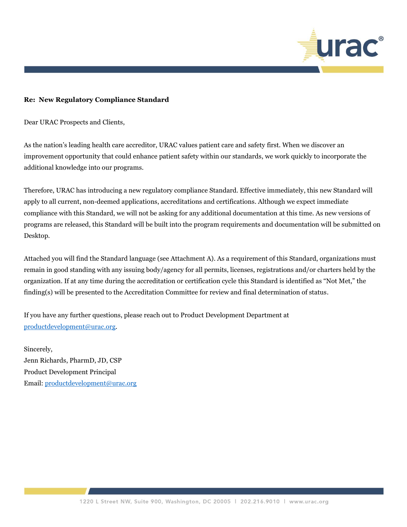

#### **Re: New Regulatory Compliance Standard**

Dear URAC Prospects and Clients,

As the nation's leading health care accreditor, URAC values patient care and safety first. When we discover an improvement opportunity that could enhance patient safety within our standards, we work quickly to incorporate the additional knowledge into our programs.

Therefore, URAC has introducing a new regulatory compliance Standard. Effective immediately, this new Standard will apply to all current, non-deemed applications, accreditations and certifications. Although we expect immediate compliance with this Standard, we will not be asking for any additional documentation at this time. As new versions of programs are released, this Standard will be built into the program requirements and documentation will be submitted on Desktop.

Attached you will find the Standard language (see Attachment A). As a requirement of this Standard, organizations must remain in good standing with any issuing body/agency for all permits, licenses, registrations and/or charters held by the organization. If at any time during the accreditation or certification cycle this Standard is identified as "Not Met," the finding(s) will be presented to the Accreditation Committee for review and final determination of status.

If you have any further questions, please reach out to Product Development Department at [productdevelopment@urac.org.](mailto:productdevelopment@urac.org)

Sincerely, Jenn Richards, PharmD, JD, CSP Product Development Principal Email[: productdevelopment@urac.org](mailto:productdevelopment@urac.org)